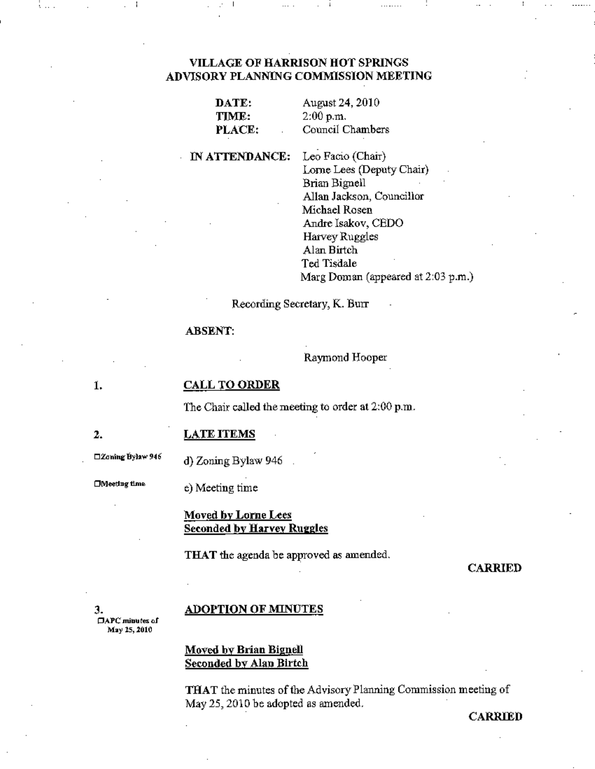## **VILLAGE OF HARRISON HOT SPRINGS** ADVISORY PLANNING COMMISSION MEETING

| DATE.  |  |
|--------|--|
| TIME:  |  |
| PLACE: |  |

August 24, 2010  $2:00$  p.m. Council Chambers

#### IN ATTENDANCE:

Leo Facio (Chair) Lorne Lees (Deputy Chair) Brian Bignell Allan Jackson, Councillor Michael Rosen Andre Isakov, CEDO Harvey Ruggles Alan Birtch Ted Tisdale Marg Doman (appeared at 2:03 p.m.)

. . . . . . . .

Recording Secretary, K. Burr

#### **ABSENT:**

Raymond Hooper

ĺ.

 $\overline{2}$ .

#### CALL TO ORDER

The Chair called the meeting to order at 2:00 p.m.

**LATE ITEMS** 

□Zoning Bylaw 946

d) Zoning Bylaw 946

□Meeting time

e) Meeting time

## Moved by Lorne Lees **Seconded by Harvey Ruggles**

THAT the agenda be approved as amended.

#### **CARRIED**

з.  $\Box$ APC minutes of May 15, 2010

#### **ADOPTION OF MINUTES**

## **Moved by Brian Bignell Seconded by Alan Birtch**

THAT the minutes of the Advisory Planning Commission meeting of May 25, 2010 be adopted as amended.

**CARRIED**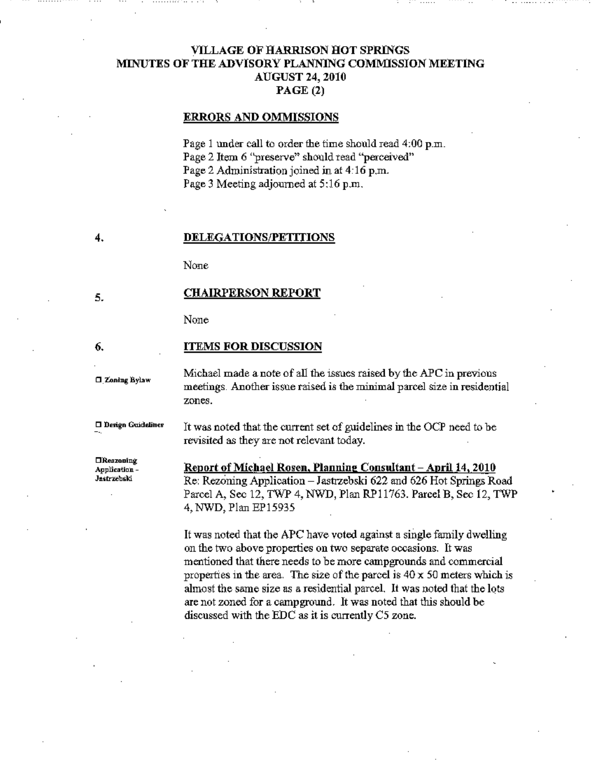# VILLAGE OF HARRISON HOT SPRINGS MINUTES OF THE ADVISORY PLANNlNG COMMlSSION MEETING AUGUST 24,2010 PAGE (2)

#### ERRORS AND OMMISSIONS

Page 1 under call to order the time should read 4:00 p.m. Page 2 Item 6 "preserve" should read "perceived" Page 2 Administration joined in at 4-16 p.m. Page 3 Meeting adjourned at 5:16 p.m.

#### DELEGATIONS/PETITIONS

None

#### CHAIRPERSON REPORT

None

#### ITEMS FOR DISCUSSION

**0 Zoning Bylaw** 

Design Guidelines

4.

5.

6.

Michael made a note of all the issues raised by the APC in previous meetings. Another issue raised is the minimal parcel size in residential zones.

It was noted that the current set of guidelines in the OCP need to be revisited as they are not relevant today.

 $\Box$ Reszoning Application-Jastrzebski

Report of Michael Rosen, Planning Consultant - April 14, 2010 Re: Rezoning Application - Jastrzebski 622 and 626 Hot Springs Road Parcel A, Sec 12, TWP 4, NWD, Plan RP11763. Parcel B, Sec 12, TWP 4, NWD, Plan EP15935

It was noted that the APC have voted against a single family dwelling on the two above properties on two separate occasions. It was mentioned that there needs to be more campgrounds and commercial properties in the area. The size of the parcel is  $40 \times 50$  meters which is almost the same size as a residential parcel. It was noted that the lots are not zoned for a campground. It was noted that this should be discussed with the EDC as it is currently CS zone.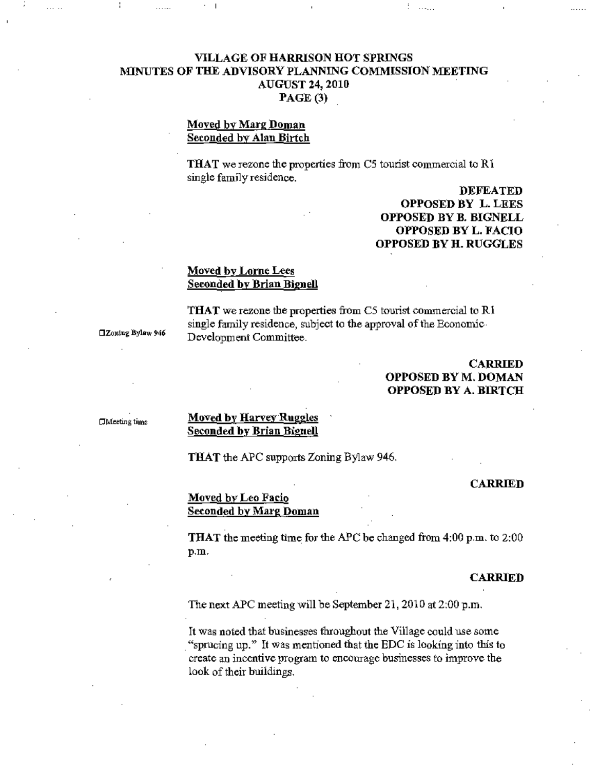# VILLAGE OF HARRISON HOT SPRINGS MlNUTES OF THE ADVISORY PLANNING COMMISSION MEETING AUGUST 24, 2010 PAGE (3)

### Moved by Marg Doman Seconded by Alan Birtch

THAT we rezone the properties from  $C5$  tourist commercial to  $R1$ single family residence.

> DEFEATED OPPOSED BY L. LEES OPPOSED BY B. BIGNELL OPPOSED BY L. FACIO OPPOSED BY H. RUGGLES

 $\cdots$  . . .

# Moved by Lorne Lees Seconded by Brian Bignell

THAT we rezone the properties from C5 tourist commercial to Rl single family residence. subject to the approval of the Economic Development Committee.

DZontng Bylaw 946

## CARRIED OPPOSED BY M. DOMAN OPPOSED BY A. BIRTCH

CMeeting time

#### **Moved by Harvey Ruggles** Seconded by Brian Bignell

THAT the APC supports Zoning Bylaw 946.

#### CARRIED

## Moved by Leo Facio Seconded by Marg Doman

**THAT** the meeting time for the APC be changed from  $4:00$  p.m. to  $2:00$ p.m.

#### **CARRIED**

The next APC meeting will be September 21, 2010 at  $2:00$  p.m.

It was noted that businesses throughout the Village could use some "sprucing up." It was mentioned that the EDC is looking into this to create an incentive program to encourage businesses to improve the look of their buildings.